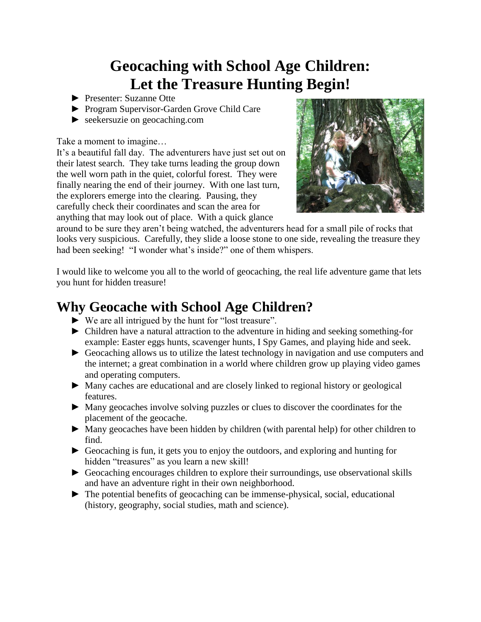# **Geocaching with School Age Children: Let the Treasure Hunting Begin!**

- ► Presenter: Suzanne Otte
- ► Program Supervisor-Garden Grove Child Care
- ► seekersuzie on geocaching.com

Take a moment to imagine…

It's a beautiful fall day. The adventurers have just set out on their latest search. They take turns leading the group down the well worn path in the quiet, colorful forest. They were finally nearing the end of their journey. With one last turn, the explorers emerge into the clearing. Pausing, they carefully check their coordinates and scan the area for anything that may look out of place. With a quick glance



around to be sure they aren't being watched, the adventurers head for a small pile of rocks that looks very suspicious. Carefully, they slide a loose stone to one side, revealing the treasure they had been seeking! "I wonder what's inside?" one of them whispers.

I would like to welcome you all to the world of geocaching, the real life adventure game that lets you hunt for hidden treasure!

## **Why Geocache with School Age Children?**

- ► We are all intrigued by the hunt for "lost treasure".
- ► Children have a natural attraction to the adventure in hiding and seeking something-for example: Easter eggs hunts, scavenger hunts, I Spy Games, and playing hide and seek.
- ► Geocaching allows us to utilize the latest technology in navigation and use computers and the internet; a great combination in a world where children grow up playing video games and operating computers.
- ► Many caches are educational and are closely linked to regional history or geological features.
- ► Many geocaches involve solving puzzles or clues to discover the coordinates for the placement of the geocache.
- ► Many geocaches have been hidden by children (with parental help) for other children to find.
- ► Geocaching is fun, it gets you to enjoy the outdoors, and exploring and hunting for hidden "treasures" as you learn a new skill!
- ► Geocaching encourages children to explore their surroundings, use observational skills and have an adventure right in their own neighborhood.
- ► The potential benefits of geocaching can be immense-physical, social, educational (history, geography, social studies, math and science).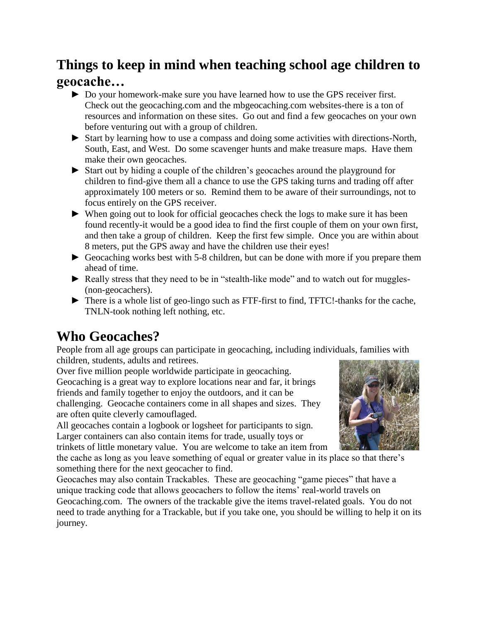## **Things to keep in mind when teaching school age children to geocache…**

- ► Do your homework-make sure you have learned how to use the GPS receiver first. Check out the geocaching.com and the mbgeocaching.com websites-there is a ton of resources and information on these sites. Go out and find a few geocaches on your own before venturing out with a group of children.
- ► Start by learning how to use a compass and doing some activities with directions-North, South, East, and West. Do some scavenger hunts and make treasure maps. Have them make their own geocaches.
- ► Start out by hiding a couple of the children's geocaches around the playground for children to find-give them all a chance to use the GPS taking turns and trading off after approximately 100 meters or so. Remind them to be aware of their surroundings, not to focus entirely on the GPS receiver.
- ► When going out to look for official geocaches check the logs to make sure it has been found recently-it would be a good idea to find the first couple of them on your own first, and then take a group of children. Keep the first few simple. Once you are within about 8 meters, put the GPS away and have the children use their eyes!
- ► Geocaching works best with 5-8 children, but can be done with more if you prepare them ahead of time.
- ► Really stress that they need to be in "stealth-like mode" and to watch out for muggles- (non-geocachers).
- ► There is a whole list of geo-lingo such as FTF-first to find, TFTC!-thanks for the cache, TNLN-took nothing left nothing, etc.

# **Who Geocaches?**

People from all age groups can participate in geocaching, including individuals, families with children, students, adults and retirees.

Over five million people worldwide participate in geocaching. Geocaching is a great way to explore locations near and far, it brings friends and family together to enjoy the outdoors, and it can be challenging. Geocache containers come in all shapes and sizes. They are often quite cleverly camouflaged.

All geocaches contain a logbook or logsheet for participants to sign. Larger containers can also contain items for trade, usually toys or trinkets of little monetary value. You are welcome to take an item from



the cache as long as you leave something of equal or greater value in its place so that there's something there for the next geocacher to find.

Geocaches may also contain Trackables. These are geocaching "game pieces" that have a unique tracking code that allows geocachers to follow the items' real-world travels on Geocaching.com. The owners of the trackable give the items travel-related goals. You do not need to trade anything for a Trackable, but if you take one, you should be willing to help it on its journey.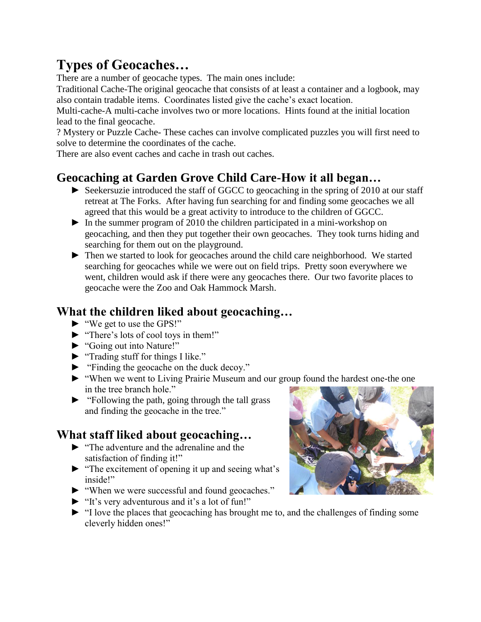# **Types of Geocaches…**

There are a number of geocache types. The main ones include:

Traditional Cache-The original geocache that consists of at least a container and a logbook, may also contain tradable items. Coordinates listed give the cache's exact location.

Multi-cache-A multi-cache involves two or more locations. Hints found at the initial location lead to the final geocache.

? Mystery or Puzzle Cache- These caches can involve complicated puzzles you will first need to solve to determine the coordinates of the cache.

There are also event caches and cache in trash out caches.

### **Geocaching at Garden Grove Child Care-How it all began…**

- ► Seekersuzie introduced the staff of GGCC to geocaching in the spring of 2010 at our staff retreat at The Forks. After having fun searching for and finding some geocaches we all agreed that this would be a great activity to introduce to the children of GGCC.
- ► In the summer program of 2010 the children participated in a mini-workshop on geocaching, and then they put together their own geocaches. They took turns hiding and searching for them out on the playground.
- ► Then we started to look for geocaches around the child care neighborhood. We started searching for geocaches while we were out on field trips. Pretty soon everywhere we went, children would ask if there were any geocaches there. Our two favorite places to geocache were the Zoo and Oak Hammock Marsh.

## **What the children liked about geocaching…**

- ► "We get to use the GPS!"
- ► "There's lots of cool toys in them!"
- ► "Going out into Nature!"
- ► "Trading stuff for things I like."
- ► "Finding the geocache on the duck decoy."
- ► "When we went to Living Prairie Museum and our group found the hardest one-the one in the tree branch hole."
- ► "Following the path, going through the tall grass and finding the geocache in the tree."

## **What staff liked about geocaching…**

- ► "The adventure and the adrenaline and the satisfaction of finding it!"
- ► "The excitement of opening it up and seeing what's inside!"
- ► "When we were successful and found geocaches."
- ► "It's very adventurous and it's a lot of fun!"
- ► "I love the places that geocaching has brought me to, and the challenges of finding some cleverly hidden ones!"

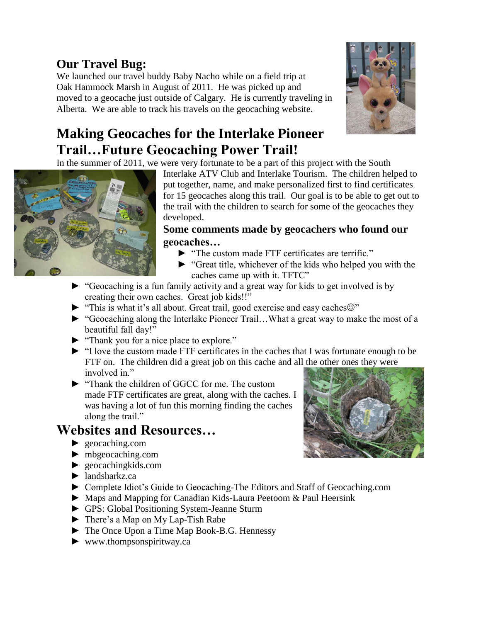## **Our Travel Bug:**

We launched our travel buddy Baby Nacho while on a field trip at Oak Hammock Marsh in August of 2011. He was picked up and moved to a geocache just outside of Calgary. He is currently traveling in Alberta. We are able to track his travels on the geocaching website.



In the summer of 2011, we were very fortunate to be a part of this project with the South



Interlake ATV Club and Interlake Tourism. The children helped to put together, name, and make personalized first to find certificates for 15 geocaches along this trail. Our goal is to be able to get out to the trail with the children to search for some of the geocaches they developed.

#### **Some comments made by geocachers who found our geocaches…**

- ► "The custom made FTF certificates are terrific."
- ► "Great title, whichever of the kids who helped you with the caches came up with it. TFTC"
- ► "Geocaching is a fun family activity and a great way for kids to get involved is by creating their own caches. Great job kids!!"
- $\blacktriangleright$  "This is what it's all about. Great trail, good exercise and easy caches  $\odot$ "
- ► "Geocaching along the Interlake Pioneer Trail…What a great way to make the most of a beautiful fall day!"
- ► "Thank you for a nice place to explore."
- ► "I love the custom made FTF certificates in the caches that I was fortunate enough to be FTF on. The children did a great job on this cache and all the other ones they were involved in"
- ► "Thank the children of GGCC for me. The custom made FTF certificates are great, along with the caches. I was having a lot of fun this morning finding the caches along the trail."

## **Websites and Resources…**

- ► geocaching.com
- ► mbgeocaching.com
- ► geocachingkids.com
- ► landsharkz.ca
- ► Complete Idiot's Guide to Geocaching-The Editors and Staff of Geocaching.com
- ► Maps and Mapping for Canadian Kids-Laura Peetoom & Paul Heersink
- ► GPS: Global Positioning System-Jeanne Sturm
- ► There's a Map on My Lap-Tish Rabe
- ► The Once Upon a Time Map Book-B.G. Hennessy
- ► www.thompsonspiritway.ca



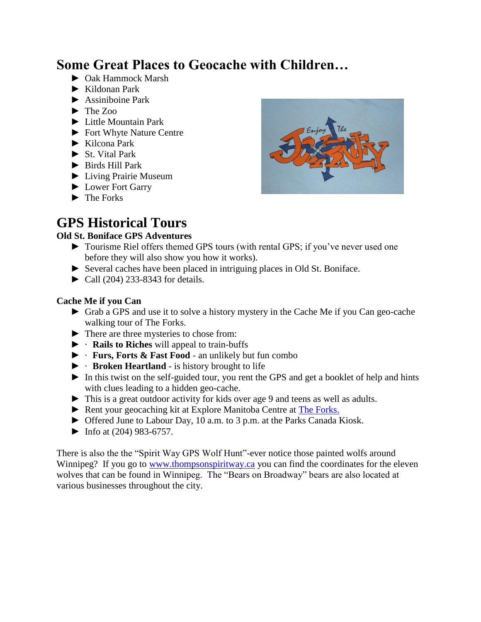## **Some Great Places to Geocache with Children…**

- ► Oak Hammock Marsh
- ► Kildonan Park
- ► Assiniboine Park
- $\blacktriangleright$  The Zoo
- ► Little Mountain Park
- ► Fort Whyte Nature Centre
- ► Kilcona Park
- ► St. Vital Park
- ► Birds Hill Park
- ► Living Prairie Museum
- ► Lower Fort Garry
- ► The Forks

## **GPS Historical Tours**

#### **Old St. Boniface GPS Adventures**

- 
- ► Tourisme Riel offers themed GPS tours (with rental GPS; if you've never used one before they will also show you how it works).
- ► Several caches have been placed in intriguing places in Old St. Boniface.
- ► Call (204) 233-8343 for details.

#### **Cache Me if you Can**

- ► Grab a GPS and use it to solve a history mystery in the Cache Me if you Can geo-cache walking tour of The Forks.
- ► There are three mysteries to chose from:
- ► · **Rails to Riches** will appeal to train-buffs
- ► · **Furs, Forts & Fast Food** an unlikely but fun combo
- ► · **Broken Heartland** is history brought to life
- ► In this twist on the self-guided tour, you rent the GPS and get a booklet of help and hints with clues leading to a hidden geo-cache.
- ► This is a great outdoor activity for kids over age 9 and teens as well as adults.
- ► Rent your geocaching kit at Explore Manitoba Centre at [The Forks.](http://www.visitor-guide-to-winnipeg.com/The-Forks-Winnipeg.html)
- ► Offered June to Labour Day, 10 a.m. to 3 p.m. at the Parks Canada Kiosk.
- $\blacktriangleright$  Info at (204) 983-6757.

There is also the the "Spirit Way GPS Wolf Hunt"-ever notice those painted wolfs around Winnipeg? If you go to [www.thompsonspiritway.ca](http://www.thompsonspiritway.ca/) you can find the coordinates for the eleven wolves that can be found in Winnipeg. The "Bears on Broadway" bears are also located at various businesses throughout the city.

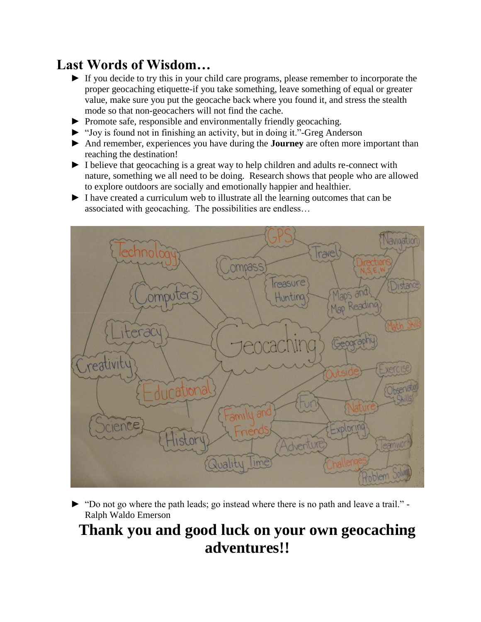## **Last Words of Wisdom…**

- ► If you decide to try this in your child care programs, please remember to incorporate the proper geocaching etiquette-if you take something, leave something of equal or greater value, make sure you put the geocache back where you found it, and stress the stealth mode so that non-geocachers will not find the cache.
- ► Promote safe, responsible and environmentally friendly geocaching.
- ► "Joy is found not in finishing an activity, but in doing it."-Greg Anderson
- ► And remember, experiences you have during the **Journey** are often more important than reaching the destination!
- ► I believe that geocaching is a great way to help children and adults re-connect with nature, something we all need to be doing. Research shows that people who are allowed to explore outdoors are socially and emotionally happier and healthier.
- ► I have created a curriculum web to illustrate all the learning outcomes that can be associated with geocaching. The possibilities are endless…



► "Do not go where the path leads; go instead where there is no path and leave a trail." - Ralph Waldo Emerson

# **Thank you and good luck on your own geocaching adventures!!**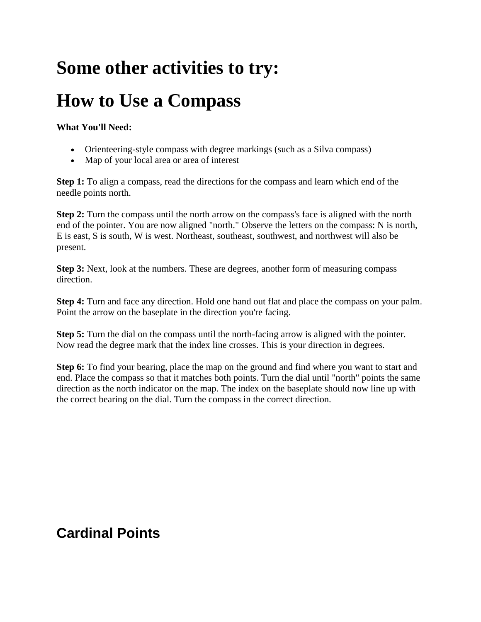# **Some other activities to try:**

# **How to Use a Compass**

#### **What You'll Need:**

- Orienteering-style compass with degree markings (such as a Silva compass)
- Map of your local area or area of interest

**Step 1:** To align a compass, read the directions for the compass and learn which end of the needle points north.

**Step 2:** Turn the compass until the north arrow on the compass's face is aligned with the north end of the pointer. You are now aligned "north." Observe the letters on the compass: N is north, E is east, S is south, W is west. Northeast, southeast, southwest, and northwest will also be present.

**Step 3:** Next, look at the numbers. These are degrees, another form of measuring compass direction.

**Step 4:** Turn and face any direction. Hold one hand out flat and place the compass on your palm. Point the arrow on the baseplate in the direction you're facing.

**Step 5:** Turn the dial on the compass until the north-facing arrow is aligned with the pointer. Now read the degree mark that the index line crosses. This is your direction in degrees.

**Step 6:** To find your bearing, place the map on the ground and find where you want to start and end. Place the compass so that it matches both points. Turn the dial until "north" points the same direction as the north indicator on the map. The index on the baseplate should now line up with the correct bearing on the dial. Turn the compass in the correct direction.

## **Cardinal Points**